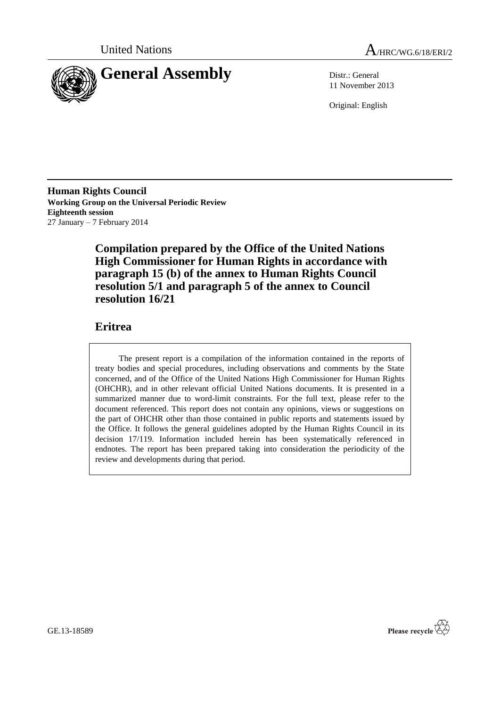



11 November 2013

Original: English

**Human Rights Council Working Group on the Universal Periodic Review Eighteenth session** 27 January – 7 February 2014

> **Compilation prepared by the Office of the United Nations High Commissioner for Human Rights in accordance with paragraph 15 (b) of the annex to Human Rights Council resolution 5/1 and paragraph 5 of the annex to Council resolution 16/21**

## **Eritrea**

The present report is a compilation of the information contained in the reports of treaty bodies and special procedures, including observations and comments by the State concerned, and of the Office of the United Nations High Commissioner for Human Rights (OHCHR), and in other relevant official United Nations documents. It is presented in a summarized manner due to word-limit constraints. For the full text, please refer to the document referenced. This report does not contain any opinions, views or suggestions on the part of OHCHR other than those contained in public reports and statements issued by the Office. It follows the general guidelines adopted by the Human Rights Council in its decision 17/119. Information included herein has been systematically referenced in endnotes. The report has been prepared taking into consideration the periodicity of the review and developments during that period.



GE.13-18589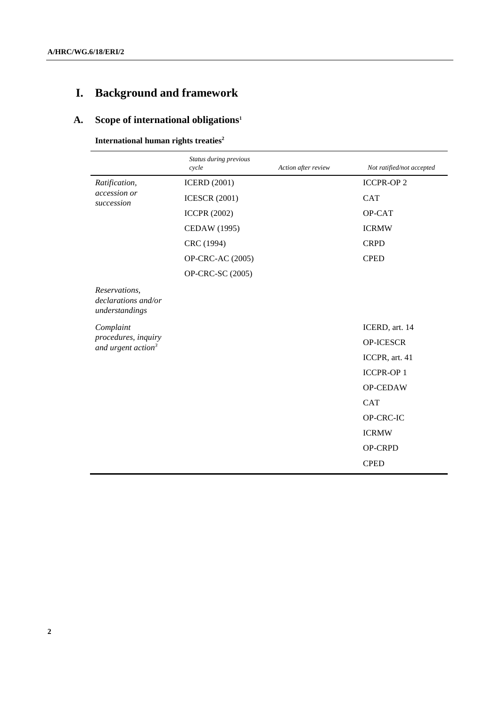# **I. Background and framework**

## **A. Scope of international obligations<sup>1</sup>**

**International human rights treaties<sup>2</sup>**

|                                                        | Status during previous<br>cycle | Action after review | Not ratified/not accepted |
|--------------------------------------------------------|---------------------------------|---------------------|---------------------------|
| Ratification,                                          | <b>ICERD</b> (2001)             |                     | <b>ICCPR-OP2</b>          |
| accession or<br>succession                             | <b>ICESCR (2001)</b>            |                     | <b>CAT</b>                |
|                                                        | <b>ICCPR (2002)</b>             |                     | OP-CAT                    |
|                                                        | <b>CEDAW</b> (1995)             |                     | <b>ICRMW</b>              |
|                                                        | CRC (1994)                      |                     | <b>CRPD</b>               |
|                                                        | OP-CRC-AC (2005)                |                     | <b>CPED</b>               |
|                                                        | OP-CRC-SC (2005)                |                     |                           |
| Reservations,<br>declarations and/or<br>understandings |                                 |                     |                           |
| Complaint                                              |                                 |                     | ICERD, art. 14            |
| procedures, inquiry<br>and urgent action <sup>3</sup>  |                                 |                     | <b>OP-ICESCR</b>          |
|                                                        |                                 |                     | ICCPR, art. 41            |
|                                                        |                                 |                     | <b>ICCPR-OP1</b>          |
|                                                        |                                 |                     | OP-CEDAW                  |
|                                                        |                                 |                     | <b>CAT</b>                |
|                                                        |                                 |                     | OP-CRC-IC                 |
|                                                        |                                 |                     | <b>ICRMW</b>              |
|                                                        |                                 |                     | OP-CRPD                   |
|                                                        |                                 |                     | <b>CPED</b>               |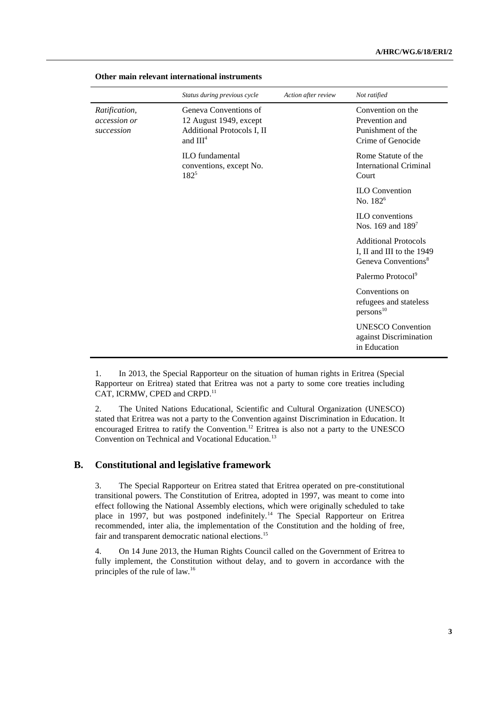|                                             | Status during previous cycle                                                                          | Action after review | Not ratified                                                                                |
|---------------------------------------------|-------------------------------------------------------------------------------------------------------|---------------------|---------------------------------------------------------------------------------------------|
| Ratification,<br>accession or<br>succession | Geneva Conventions of<br>12 August 1949, except<br>Additional Protocols I, II<br>and III <sup>4</sup> |                     | Convention on the<br>Prevention and<br>Punishment of the<br>Crime of Genocide               |
|                                             | <b>ILO</b> fundamental<br>conventions, except No.<br>$182^{5}$                                        |                     | Rome Statute of the<br><b>International Criminal</b><br>Court                               |
|                                             |                                                                                                       |                     | <b>ILO</b> Convention<br>No. 182 <sup>6</sup>                                               |
|                                             |                                                                                                       |                     | <b>ILO</b> conventions<br>Nos. 169 and $189^7$                                              |
|                                             |                                                                                                       |                     | <b>Additional Protocols</b><br>I, II and III to the 1949<br>Geneva Conventions <sup>8</sup> |
|                                             |                                                                                                       |                     | Palermo Protocol <sup>9</sup>                                                               |
|                                             |                                                                                                       |                     | Conventions on<br>refugees and stateless<br>persons <sup>10</sup>                           |
|                                             |                                                                                                       |                     | <b>UNESCO</b> Convention<br>against Discrimination<br>in Education                          |

#### **Other main relevant international instruments**

1. In 2013, the Special Rapporteur on the situation of human rights in Eritrea (Special Rapporteur on Eritrea) stated that Eritrea was not a party to some core treaties including CAT, ICRMW, CPED and CRPD.<sup>11</sup>

2. The United Nations Educational, Scientific and Cultural Organization (UNESCO) stated that Eritrea was not a party to the Convention against Discrimination in Education. It encouraged Eritrea to ratify the Convention.<sup>12</sup> Eritrea is also not a party to the UNESCO Convention on Technical and Vocational Education.<sup>13</sup>

## **B. Constitutional and legislative framework**

3. The Special Rapporteur on Eritrea stated that Eritrea operated on pre-constitutional transitional powers. The Constitution of Eritrea, adopted in 1997, was meant to come into effect following the National Assembly elections, which were originally scheduled to take place in 1997, but was postponed indefinitely.<sup>14</sup> The Special Rapporteur on Eritrea recommended, inter alia, the implementation of the Constitution and the holding of free, fair and transparent democratic national elections.<sup>15</sup>

4. On 14 June 2013, the Human Rights Council called on the Government of Eritrea to fully implement, the Constitution without delay, and to govern in accordance with the principles of the rule of law.16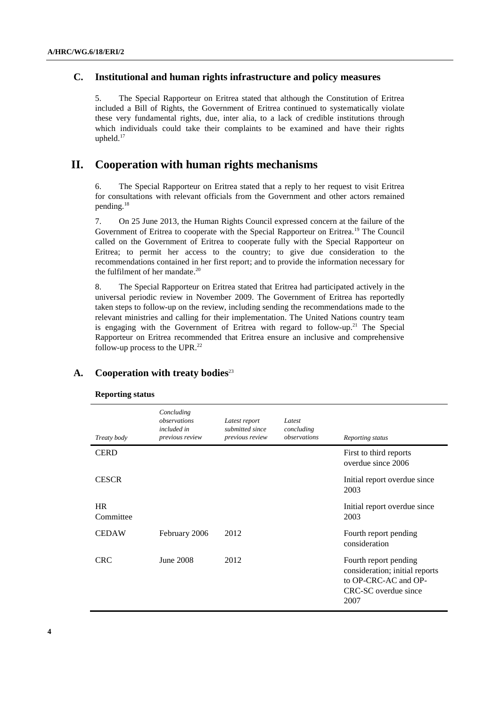## **C. Institutional and human rights infrastructure and policy measures**

5. The Special Rapporteur on Eritrea stated that although the Constitution of Eritrea included a Bill of Rights, the Government of Eritrea continued to systematically violate these very fundamental rights, due, inter alia, to a lack of credible institutions through which individuals could take their complaints to be examined and have their rights upheld.<sup>17</sup>

## **II. Cooperation with human rights mechanisms**

6. The Special Rapporteur on Eritrea stated that a reply to her request to visit Eritrea for consultations with relevant officials from the Government and other actors remained pending.<sup>18</sup>

7. On 25 June 2013, the Human Rights Council expressed concern at the failure of the Government of Eritrea to cooperate with the Special Rapporteur on Eritrea.<sup>19</sup> The Council called on the Government of Eritrea to cooperate fully with the Special Rapporteur on Eritrea; to permit her access to the country; to give due consideration to the recommendations contained in her first report; and to provide the information necessary for the fulfilment of her mandate. 20

8. The Special Rapporteur on Eritrea stated that Eritrea had participated actively in the universal periodic review in November 2009. The Government of Eritrea has reportedly taken steps to follow-up on the review, including sending the recommendations made to the relevant ministries and calling for their implementation. The United Nations country team is engaging with the Government of Eritrea with regard to follow-up.<sup>21</sup> The Special Rapporteur on Eritrea recommended that Eritrea ensure an inclusive and comprehensive follow-up process to the UPR. 22

| Treaty body            | Concluding<br>observations<br>included in<br>previous review | Latest report<br>submitted since<br>previous review | Latest<br>concluding<br>observations | Reporting status                                                                                                |
|------------------------|--------------------------------------------------------------|-----------------------------------------------------|--------------------------------------|-----------------------------------------------------------------------------------------------------------------|
| <b>CERD</b>            |                                                              |                                                     |                                      | First to third reports<br>overdue since 2006                                                                    |
| <b>CESCR</b>           |                                                              |                                                     |                                      | Initial report overdue since<br>2003                                                                            |
| <b>HR</b><br>Committee |                                                              |                                                     |                                      | Initial report overdue since<br>2003                                                                            |
| <b>CEDAW</b>           | February 2006                                                | 2012                                                |                                      | Fourth report pending<br>consideration                                                                          |
| <b>CRC</b>             | <b>June 2008</b>                                             | 2012                                                |                                      | Fourth report pending<br>consideration; initial reports<br>to OP-CRC-AC and OP-<br>CRC-SC overdue since<br>2007 |

## **A. Cooperation with treaty bodies**<sup>23</sup>

**Reporting status**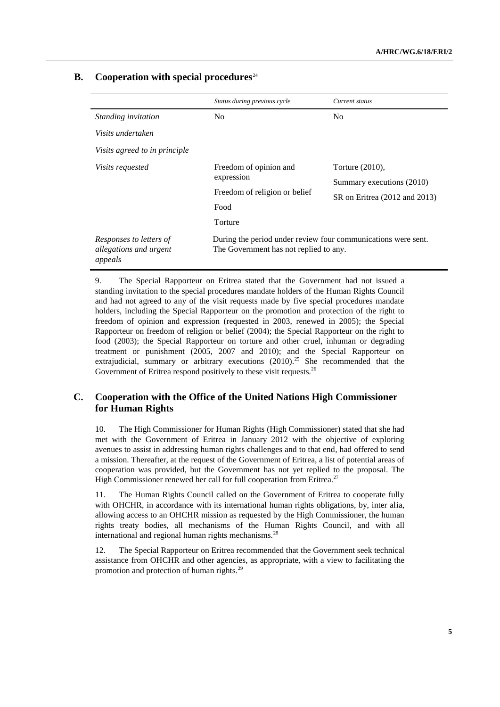## **B.** Cooperation with special procedures<sup>24</sup>

|                                   | Status during previous cycle                                  | Current status                |  |
|-----------------------------------|---------------------------------------------------------------|-------------------------------|--|
| Standing invitation               | N <sub>0</sub>                                                | N <sub>0</sub>                |  |
| Visits undertaken                 |                                                               |                               |  |
| Visits agreed to in principle     |                                                               |                               |  |
| <i>Visits requested</i>           | Freedom of opinion and                                        | Torture $(2010)$ ,            |  |
|                                   | expression                                                    | Summary executions (2010)     |  |
|                                   | Freedom of religion or belief<br>Food                         | SR on Eritrea (2012 and 2013) |  |
|                                   |                                                               |                               |  |
|                                   | Torture                                                       |                               |  |
| Responses to letters of           | During the period under review four communications were sent. |                               |  |
| allegations and urgent<br>appeals | The Government has not replied to any.                        |                               |  |

9. The Special Rapporteur on Eritrea stated that the Government had not issued a standing invitation to the special procedures mandate holders of the Human Rights Council and had not agreed to any of the visit requests made by five special procedures mandate holders, including the Special Rapporteur on the promotion and protection of the right to freedom of opinion and expression (requested in 2003, renewed in 2005); the Special Rapporteur on freedom of religion or belief (2004); the Special Rapporteur on the right to food (2003); the Special Rapporteur on torture and other cruel, inhuman or degrading treatment or punishment (2005, 2007 and 2010); and the Special Rapporteur on extrajudicial, summary or arbitrary executions  $(2010)^{25}$  She recommended that the Government of Eritrea respond positively to these visit requests.<sup>26</sup>

## **C. Cooperation with the Office of the United Nations High Commissioner for Human Rights**

10. The High Commissioner for Human Rights (High Commissioner) stated that she had met with the Government of Eritrea in January 2012 with the objective of exploring avenues to assist in addressing human rights challenges and to that end, had offered to send a mission. Thereafter, at the request of the Government of Eritrea, a list of potential areas of cooperation was provided, but the Government has not yet replied to the proposal. The High Commissioner renewed her call for full cooperation from Eritrea.<sup>27</sup>

11. The Human Rights Council called on the Government of Eritrea to cooperate fully with OHCHR, in accordance with its international human rights obligations, by, inter alia, allowing access to an OHCHR mission as requested by the High Commissioner, the human rights treaty bodies, all mechanisms of the Human Rights Council, and with all international and regional human rights mechanisms.<sup>28</sup>

12. The Special Rapporteur on Eritrea recommended that the Government seek technical assistance from OHCHR and other agencies, as appropriate, with a view to facilitating the promotion and protection of human rights.29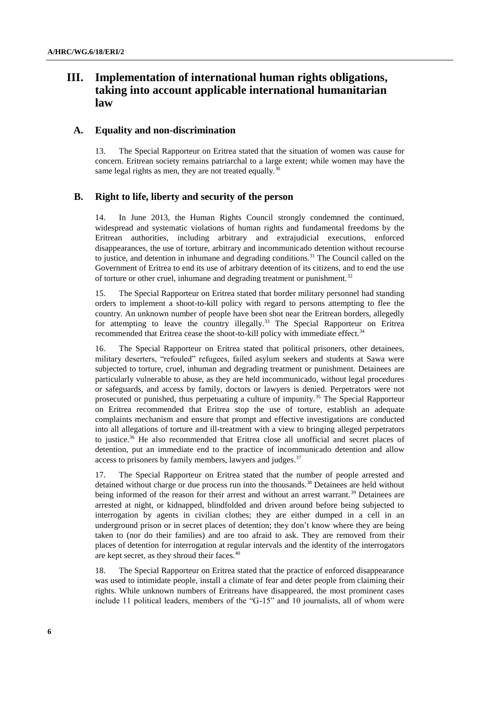## **III. Implementation of international human rights obligations, taking into account applicable international humanitarian law**

#### **A. Equality and non-discrimination**

13. The Special Rapporteur on Eritrea stated that the situation of women was cause for concern. Eritrean society remains patriarchal to a large extent; while women may have the same legal rights as men, they are not treated equally.<sup>30</sup>

#### **B. Right to life, liberty and security of the person**

14. In June 2013, the Human Rights Council strongly condemned the continued, widespread and systematic violations of human rights and fundamental freedoms by the Eritrean authorities, including arbitrary and extrajudicial executions, enforced disappearances, the use of torture, arbitrary and incommunicado detention without recourse to justice, and detention in inhumane and degrading conditions.<sup>31</sup> The Council called on the Government of Eritrea to end its use of arbitrary detention of its citizens, and to end the use of torture or other cruel, inhumane and degrading treatment or punishment.<sup>32</sup>

15. The Special Rapporteur on Eritrea stated that border military personnel had standing orders to implement a shoot-to-kill policy with regard to persons attempting to flee the country. An unknown number of people have been shot near the Eritrean borders, allegedly for attempting to leave the country illegally.<sup>33</sup> The Special Rapporteur on Eritrea recommended that Eritrea cease the shoot-to-kill policy with immediate effect.<sup>34</sup>

16. The Special Rapporteur on Eritrea stated that political prisoners, other detainees, military deserters, "refouled" refugees, failed asylum seekers and students at Sawa were subjected to torture, cruel, inhuman and degrading treatment or punishment. Detainees are particularly vulnerable to abuse, as they are held incommunicado, without legal procedures or safeguards, and access by family, doctors or lawyers is denied. Perpetrators were not prosecuted or punished, thus perpetuating a culture of impunity.<sup>35</sup> The Special Rapporteur on Eritrea recommended that Eritrea stop the use of torture, establish an adequate complaints mechanism and ensure that prompt and effective investigations are conducted into all allegations of torture and ill-treatment with a view to bringing alleged perpetrators to justice.<sup>36</sup> He also recommended that Eritrea close all unofficial and secret places of detention, put an immediate end to the practice of incommunicado detention and allow access to prisoners by family members, lawyers and judges.<sup>37</sup>

17. The Special Rapporteur on Eritrea stated that the number of people arrested and detained without charge or due process run into the thousands.<sup>38</sup> Detainees are held without being informed of the reason for their arrest and without an arrest warrant.<sup>39</sup> Detainees are arrested at night, or kidnapped, blindfolded and driven around before being subjected to interrogation by agents in civilian clothes; they are either dumped in a cell in an underground prison or in secret places of detention; they don't know where they are being taken to (nor do their families) and are too afraid to ask. They are removed from their places of detention for interrogation at regular intervals and the identity of the interrogators are kept secret, as they shroud their faces.<sup>40</sup>

18. The Special Rapporteur on Eritrea stated that the practice of enforced disappearance was used to intimidate people, install a climate of fear and deter people from claiming their rights. While unknown numbers of Eritreans have disappeared, the most prominent cases include 11 political leaders, members of the "G-15" and 10 journalists, all of whom were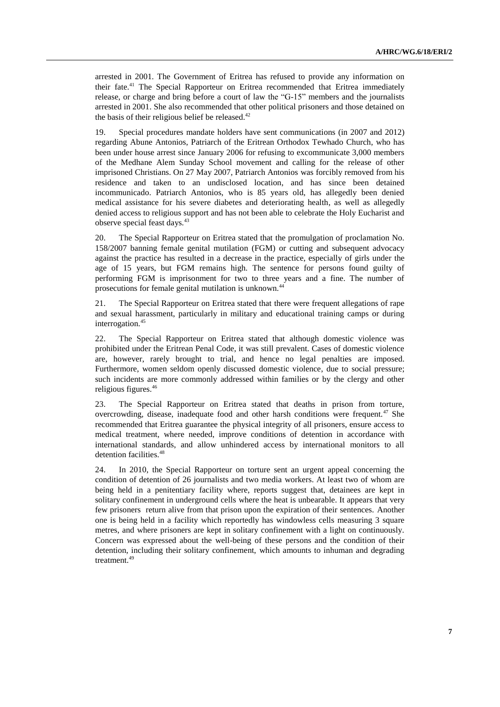arrested in 2001. The Government of Eritrea has refused to provide any information on their fate.<sup>41</sup> The Special Rapporteur on Eritrea recommended that Eritrea immediately release, or charge and bring before a court of law the "G-15" members and the journalists arrested in 2001. She also recommended that other political prisoners and those detained on the basis of their religious belief be released.<sup>42</sup>

19. Special procedures mandate holders have sent communications (in 2007 and 2012) regarding Abune Antonios, Patriarch of the Eritrean Orthodox Tewhado Church, who has been under house arrest since January 2006 for refusing to excommunicate 3,000 members of the Medhane Alem Sunday School movement and calling for the release of other imprisoned Christians. On 27 May 2007, Patriarch Antonios was forcibly removed from his residence and taken to an undisclosed location, and has since been detained incommunicado. Patriarch Antonios, who is 85 years old, has allegedly been denied medical assistance for his severe diabetes and deteriorating health, as well as allegedly denied access to religious support and has not been able to celebrate the Holy Eucharist and observe special feast days.<sup>43</sup>

20. The Special Rapporteur on Eritrea stated that the promulgation of proclamation No. 158/2007 banning female genital mutilation (FGM) or cutting and subsequent advocacy against the practice has resulted in a decrease in the practice, especially of girls under the age of 15 years, but FGM remains high. The sentence for persons found guilty of performing FGM is imprisonment for two to three years and a fine. The number of prosecutions for female genital mutilation is unknown.<sup>44</sup>

21. The Special Rapporteur on Eritrea stated that there were frequent allegations of rape and sexual harassment, particularly in military and educational training camps or during interrogation.<sup>45</sup>

22. The Special Rapporteur on Eritrea stated that although domestic violence was prohibited under the Eritrean Penal Code, it was still prevalent. Cases of domestic violence are, however, rarely brought to trial, and hence no legal penalties are imposed. Furthermore, women seldom openly discussed domestic violence, due to social pressure; such incidents are more commonly addressed within families or by the clergy and other religious figures.<sup>46</sup>

23. The Special Rapporteur on Eritrea stated that deaths in prison from torture, overcrowding, disease, inadequate food and other harsh conditions were frequent.<sup>47</sup> She recommended that Eritrea guarantee the physical integrity of all prisoners, ensure access to medical treatment, where needed, improve conditions of detention in accordance with international standards, and allow unhindered access by international monitors to all detention facilities.<sup>48</sup>

24. In 2010, the Special Rapporteur on torture sent an urgent appeal concerning the condition of detention of 26 journalists and two media workers. At least two of whom are being held in a penitentiary facility where, reports suggest that, detainees are kept in solitary confinement in underground cells where the heat is unbearable. It appears that very few prisoners return alive from that prison upon the expiration of their sentences. Another one is being held in a facility which reportedly has windowless cells measuring 3 square metres, and where prisoners are kept in solitary confinement with a light on continuously. Concern was expressed about the well-being of these persons and the condition of their detention, including their solitary confinement, which amounts to inhuman and degrading treatment.<sup>49</sup>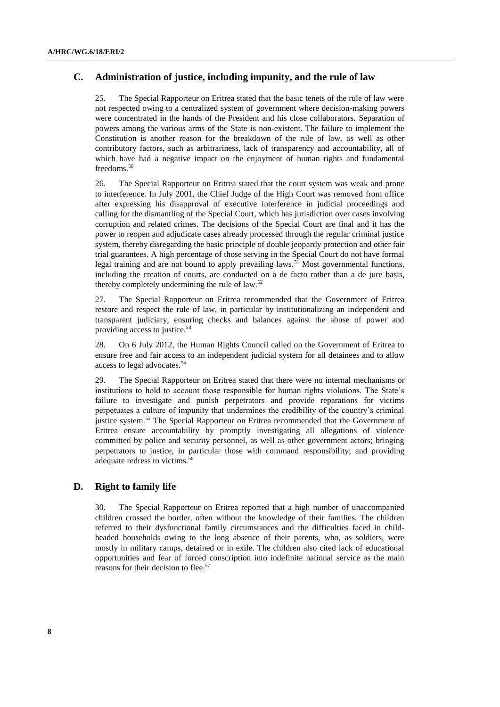## **C. Administration of justice, including impunity, and the rule of law**

25. The Special Rapporteur on Eritrea stated that the basic tenets of the rule of law were not respected owing to a centralized system of government where decision-making powers were concentrated in the hands of the President and his close collaborators. Separation of powers among the various arms of the State is non-existent. The failure to implement the Constitution is another reason for the breakdown of the rule of law, as well as other contributory factors, such as arbitrariness, lack of transparency and accountability, all of which have had a negative impact on the enjoyment of human rights and fundamental freedoms.<sup>50</sup>

26. The Special Rapporteur on Eritrea stated that the court system was weak and prone to interference. In July 2001, the Chief Judge of the High Court was removed from office after expressing his disapproval of executive interference in judicial proceedings and calling for the dismantling of the Special Court, which has jurisdiction over cases involving corruption and related crimes. The decisions of the Special Court are final and it has the power to reopen and adjudicate cases already processed through the regular criminal justice system, thereby disregarding the basic principle of double jeopardy protection and other fair trial guarantees. A high percentage of those serving in the Special Court do not have formal legal training and are not bound to apply prevailing laws.<sup>51</sup> Most governmental functions, including the creation of courts, are conducted on a de facto rather than a de jure basis, thereby completely undermining the rule of law. $52$ 

27. The Special Rapporteur on Eritrea recommended that the Government of Eritrea restore and respect the rule of law, in particular by institutionalizing an independent and transparent judiciary, ensuring checks and balances against the abuse of power and providing access to justice. 53

28. On 6 July 2012, the Human Rights Council called on the Government of Eritrea to ensure free and fair access to an independent judicial system for all detainees and to allow access to legal advocates.<sup>54</sup>

29. The Special Rapporteur on Eritrea stated that there were no internal mechanisms or institutions to hold to account those responsible for human rights violations. The State's failure to investigate and punish perpetrators and provide reparations for victims perpetuates a culture of impunity that undermines the credibility of the country's criminal justice system.<sup>55</sup> The Special Rapporteur on Eritrea recommended that the Government of Eritrea ensure accountability by promptly investigating all allegations of violence committed by police and security personnel, as well as other government actors; bringing perpetrators to justice, in particular those with command responsibility; and providing adequate redress to victims.<sup>56</sup>

## **D. Right to family life**

30. The Special Rapporteur on Eritrea reported that a high number of unaccompanied children crossed the border, often without the knowledge of their families. The children referred to their dysfunctional family circumstances and the difficulties faced in childheaded households owing to the long absence of their parents, who, as soldiers, were mostly in military camps, detained or in exile. The children also cited lack of educational opportunities and fear of forced conscription into indefinite national service as the main reasons for their decision to flee.<sup>57</sup>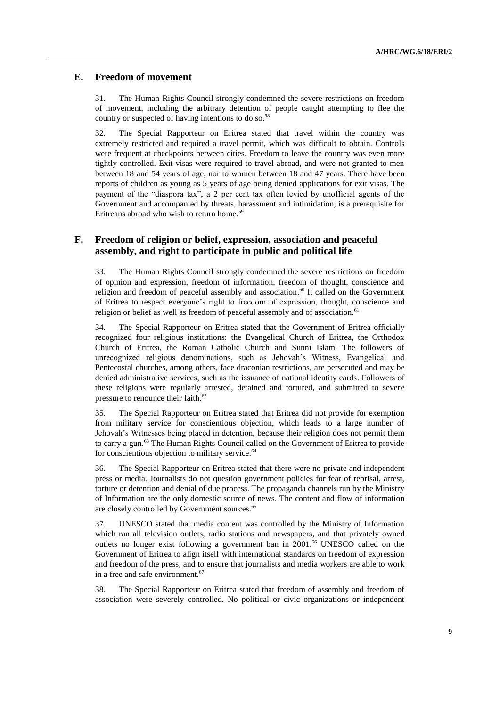## **E. Freedom of movement**

31. The Human Rights Council strongly condemned the severe restrictions on freedom of movement, including the arbitrary detention of people caught attempting to flee the country or suspected of having intentions to do so.<sup>58</sup>

32. The Special Rapporteur on Eritrea stated that travel within the country was extremely restricted and required a travel permit, which was difficult to obtain. Controls were frequent at checkpoints between cities. Freedom to leave the country was even more tightly controlled. Exit visas were required to travel abroad, and were not granted to men between 18 and 54 years of age, nor to women between 18 and 47 years. There have been reports of children as young as 5 years of age being denied applications for exit visas. The payment of the "diaspora tax", a 2 per cent tax often levied by unofficial agents of the Government and accompanied by threats, harassment and intimidation, is a prerequisite for Eritreans abroad who wish to return home.<sup>59</sup>

## **F. Freedom of religion or belief, expression, association and peaceful assembly, and right to participate in public and political life**

33. The Human Rights Council strongly condemned the severe restrictions on freedom of opinion and expression, freedom of information, freedom of thought, conscience and religion and freedom of peaceful assembly and association.<sup>60</sup> It called on the Government of Eritrea to respect everyone's right to freedom of expression, thought, conscience and religion or belief as well as freedom of peaceful assembly and of association.<sup>61</sup>

34. The Special Rapporteur on Eritrea stated that the Government of Eritrea officially recognized four religious institutions: the Evangelical Church of Eritrea, the Orthodox Church of Eritrea, the Roman Catholic Church and Sunni Islam. The followers of unrecognized religious denominations, such as Jehovah's Witness, Evangelical and Pentecostal churches, among others, face draconian restrictions, are persecuted and may be denied administrative services, such as the issuance of national identity cards. Followers of these religions were regularly arrested, detained and tortured, and submitted to severe pressure to renounce their faith.<sup>62</sup>

35. The Special Rapporteur on Eritrea stated that Eritrea did not provide for exemption from military service for conscientious objection, which leads to a large number of Jehovah's Witnesses being placed in detention, because their religion does not permit them to carry a gun.<sup>63</sup> The Human Rights Council called on the Government of Eritrea to provide for conscientious objection to military service.<sup>64</sup>

36. The Special Rapporteur on Eritrea stated that there were no private and independent press or media. Journalists do not question government policies for fear of reprisal, arrest, torture or detention and denial of due process. The propaganda channels run by the Ministry of Information are the only domestic source of news. The content and flow of information are closely controlled by Government sources.<sup>65</sup>

37. UNESCO stated that media content was controlled by the Ministry of Information which ran all television outlets, radio stations and newspapers, and that privately owned outlets no longer exist following a government ban in 2001.<sup>66</sup> UNESCO called on the Government of Eritrea to align itself with international standards on freedom of expression and freedom of the press, and to ensure that journalists and media workers are able to work in a free and safe environment.<sup>67</sup>

38. The Special Rapporteur on Eritrea stated that freedom of assembly and freedom of association were severely controlled. No political or civic organizations or independent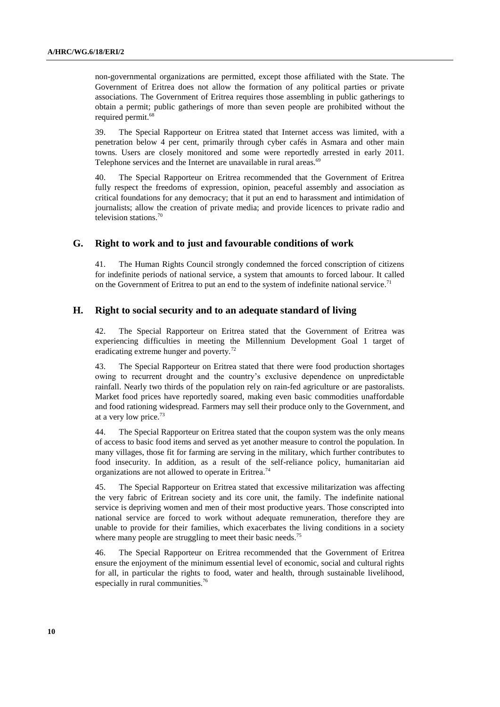non-governmental organizations are permitted, except those affiliated with the State. The Government of Eritrea does not allow the formation of any political parties or private associations. The Government of Eritrea requires those assembling in public gatherings to obtain a permit; public gatherings of more than seven people are prohibited without the required permit. 68

39. The Special Rapporteur on Eritrea stated that Internet access was limited, with a penetration below 4 per cent, primarily through cyber cafés in Asmara and other main towns. Users are closely monitored and some were reportedly arrested in early 2011. Telephone services and the Internet are unavailable in rural areas.<sup>69</sup>

40. The Special Rapporteur on Eritrea recommended that the Government of Eritrea fully respect the freedoms of expression, opinion, peaceful assembly and association as critical foundations for any democracy; that it put an end to harassment and intimidation of journalists; allow the creation of private media; and provide licences to private radio and television stations.<sup>70</sup>

#### **G. Right to work and to just and favourable conditions of work**

41. The Human Rights Council strongly condemned the forced conscription of citizens for indefinite periods of national service, a system that amounts to forced labour. It called on the Government of Eritrea to put an end to the system of indefinite national service.<sup>71</sup>

## **H. Right to social security and to an adequate standard of living**

42. The Special Rapporteur on Eritrea stated that the Government of Eritrea was experiencing difficulties in meeting the Millennium Development Goal 1 target of eradicating extreme hunger and poverty.<sup>72</sup>

43. The Special Rapporteur on Eritrea stated that there were food production shortages owing to recurrent drought and the country's exclusive dependence on unpredictable rainfall. Nearly two thirds of the population rely on rain-fed agriculture or are pastoralists. Market food prices have reportedly soared, making even basic commodities unaffordable and food rationing widespread. Farmers may sell their produce only to the Government, and at a very low price.<sup>73</sup>

44. The Special Rapporteur on Eritrea stated that the coupon system was the only means of access to basic food items and served as yet another measure to control the population. In many villages, those fit for farming are serving in the military, which further contributes to food insecurity. In addition, as a result of the self-reliance policy, humanitarian aid organizations are not allowed to operate in Eritrea.<sup>74</sup>

45. The Special Rapporteur on Eritrea stated that excessive militarization was affecting the very fabric of Eritrean society and its core unit, the family. The indefinite national service is depriving women and men of their most productive years. Those conscripted into national service are forced to work without adequate remuneration, therefore they are unable to provide for their families, which exacerbates the living conditions in a society where many people are struggling to meet their basic needs.<sup>75</sup>

46. The Special Rapporteur on Eritrea recommended that the Government of Eritrea ensure the enjoyment of the minimum essential level of economic, social and cultural rights for all, in particular the rights to food, water and health, through sustainable livelihood, especially in rural communities.<sup>76</sup>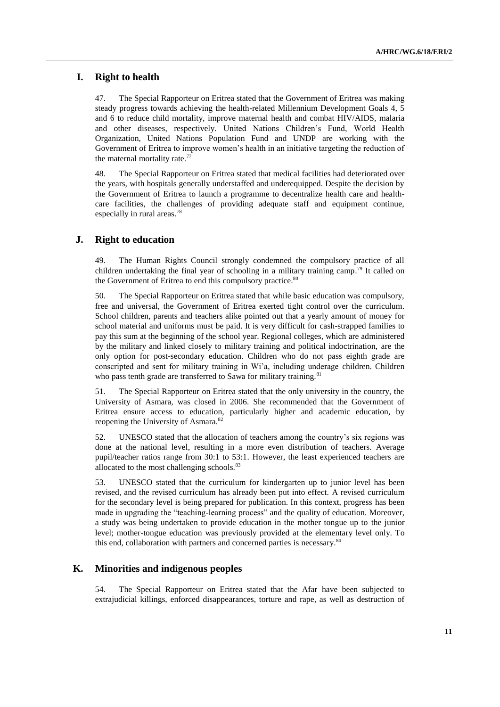#### **I. Right to health**

47. The Special Rapporteur on Eritrea stated that the Government of Eritrea was making steady progress towards achieving the health-related Millennium Development Goals 4, 5 and 6 to reduce child mortality, improve maternal health and combat HIV/AIDS, malaria and other diseases, respectively. United Nations Children's Fund, World Health Organization, United Nations Population Fund and UNDP are working with the Government of Eritrea to improve women's health in an initiative targeting the reduction of the maternal mortality rate. $77$ 

48. The Special Rapporteur on Eritrea stated that medical facilities had deteriorated over the years, with hospitals generally understaffed and underequipped. Despite the decision by the Government of Eritrea to launch a programme to decentralize health care and healthcare facilities, the challenges of providing adequate staff and equipment continue, especially in rural areas.<sup>78</sup>

#### **J. Right to education**

49. The Human Rights Council strongly condemned the compulsory practice of all children undertaking the final year of schooling in a military training camp.<sup>79</sup> It called on the Government of Eritrea to end this compulsory practice.<sup>80</sup>

50. The Special Rapporteur on Eritrea stated that while basic education was compulsory, free and universal, the Government of Eritrea exerted tight control over the curriculum. School children, parents and teachers alike pointed out that a yearly amount of money for school material and uniforms must be paid. It is very difficult for cash-strapped families to pay this sum at the beginning of the school year. Regional colleges, which are administered by the military and linked closely to military training and political indoctrination, are the only option for post-secondary education. Children who do not pass eighth grade are conscripted and sent for military training in Wi'a, including underage children. Children who pass tenth grade are transferred to Sawa for military training.<sup>81</sup>

51. The Special Rapporteur on Eritrea stated that the only university in the country, the University of Asmara, was closed in 2006. She recommended that the Government of Eritrea ensure access to education, particularly higher and academic education, by reopening the University of Asmara.<sup>82</sup>

52. UNESCO stated that the allocation of teachers among the country's six regions was done at the national level, resulting in a more even distribution of teachers. Average pupil/teacher ratios range from 30:1 to 53:1. However, the least experienced teachers are allocated to the most challenging schools.<sup>83</sup>

53. UNESCO stated that the curriculum for kindergarten up to junior level has been revised, and the revised curriculum has already been put into effect. A revised curriculum for the secondary level is being prepared for publication. In this context, progress has been made in upgrading the "teaching-learning process" and the quality of education. Moreover, a study was being undertaken to provide education in the mother tongue up to the junior level; mother-tongue education was previously provided at the elementary level only. To this end, collaboration with partners and concerned parties is necessary.<sup>84</sup>

#### **K. Minorities and indigenous peoples**

54. The Special Rapporteur on Eritrea stated that the Afar have been subjected to extrajudicial killings, enforced disappearances, torture and rape, as well as destruction of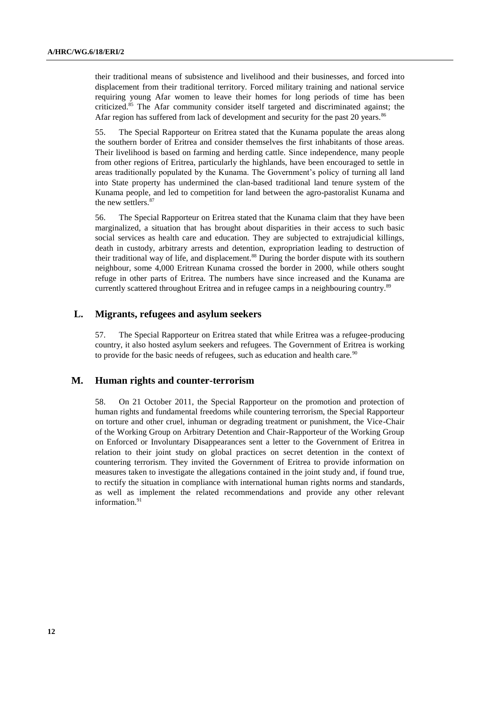their traditional means of subsistence and livelihood and their businesses, and forced into displacement from their traditional territory. Forced military training and national service requiring young Afar women to leave their homes for long periods of time has been criticized. <sup>85</sup> The Afar community consider itself targeted and discriminated against; the Afar region has suffered from lack of development and security for the past 20 years.<sup>86</sup>

55. The Special Rapporteur on Eritrea stated that the Kunama populate the areas along the southern border of Eritrea and consider themselves the first inhabitants of those areas. Their livelihood is based on farming and herding cattle. Since independence, many people from other regions of Eritrea, particularly the highlands, have been encouraged to settle in areas traditionally populated by the Kunama. The Government's policy of turning all land into State property has undermined the clan-based traditional land tenure system of the Kunama people, and led to competition for land between the agro-pastoralist Kunama and the new settlers. 87

56. The Special Rapporteur on Eritrea stated that the Kunama claim that they have been marginalized, a situation that has brought about disparities in their access to such basic social services as health care and education. They are subjected to extrajudicial killings, death in custody, arbitrary arrests and detention, expropriation leading to destruction of their traditional way of life, and displacement.<sup>88</sup> During the border dispute with its southern neighbour, some 4,000 Eritrean Kunama crossed the border in 2000, while others sought refuge in other parts of Eritrea. The numbers have since increased and the Kunama are currently scattered throughout Eritrea and in refugee camps in a neighbouring country.<sup>89</sup>

## **L. Migrants, refugees and asylum seekers**

57. The Special Rapporteur on Eritrea stated that while Eritrea was a refugee-producing country, it also hosted asylum seekers and refugees. The Government of Eritrea is working to provide for the basic needs of refugees, such as education and health care.<sup>90</sup>

## **M. Human rights and counter-terrorism**

58. On 21 October 2011, the Special Rapporteur on the promotion and protection of human rights and fundamental freedoms while countering terrorism, the Special Rapporteur on torture and other cruel, inhuman or degrading treatment or punishment, the Vice-Chair of the Working Group on Arbitrary Detention and Chair-Rapporteur of the Working Group on Enforced or Involuntary Disappearances sent a letter to the Government of Eritrea in relation to their joint study on global practices on secret detention in the context of countering terrorism. They invited the Government of Eritrea to provide information on measures taken to investigate the allegations contained in the joint study and, if found true, to rectify the situation in compliance with international human rights norms and standards, as well as implement the related recommendations and provide any other relevant information.<sup>91</sup>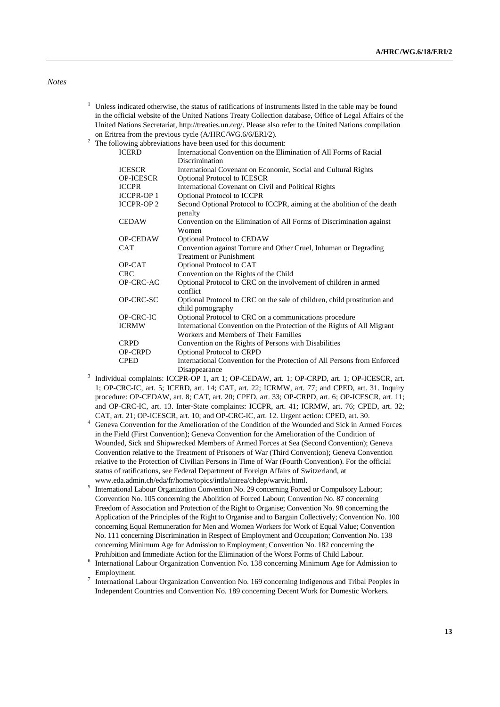#### *Notes*

- $1$  Unless indicated otherwise, the status of ratifications of instruments listed in the table may be found in the official website of the United Nations Treaty Collection database, Office of Legal Affairs of the United Nations Secretariat, [http://treaties.un.org/.](http://treaties.un.org/) Please also refer to the United Nations compilation on Eritrea from the previous cycle (A/HRC/WG.6/6/ERI/2).
- <sup>2</sup> The following abbreviations have been used for this document:

| <b>ICERD</b>      | International Convention on the Elimination of All Forms of Racial                            |
|-------------------|-----------------------------------------------------------------------------------------------|
|                   | Discrimination                                                                                |
| <b>ICESCR</b>     | International Covenant on Economic, Social and Cultural Rights                                |
| <b>OP-ICESCR</b>  | <b>Optional Protocol to ICESCR</b>                                                            |
| <b>ICCPR</b>      | International Covenant on Civil and Political Rights                                          |
| <b>ICCPR-OP 1</b> | <b>Optional Protocol to ICCPR</b>                                                             |
| <b>ICCPR-OP 2</b> | Second Optional Protocol to ICCPR, aiming at the abolition of the death<br>penalty            |
| <b>CEDAW</b>      | Convention on the Elimination of All Forms of Discrimination against<br>Women                 |
| <b>OP-CEDAW</b>   | <b>Optional Protocol to CEDAW</b>                                                             |
| <b>CAT</b>        | Convention against Torture and Other Cruel, Inhuman or Degrading                              |
|                   | <b>Treatment or Punishment</b>                                                                |
| OP-CAT            | Optional Protocol to CAT                                                                      |
| <b>CRC</b>        | Convention on the Rights of the Child                                                         |
| <b>OP-CRC-AC</b>  | Optional Protocol to CRC on the involvement of children in armed<br>conflict                  |
| OP-CRC-SC         | Optional Protocol to CRC on the sale of children, child prostitution and<br>child pornography |
| OP-CRC-IC         | Optional Protocol to CRC on a communications procedure                                        |
| <b>ICRMW</b>      | International Convention on the Protection of the Rights of All Migrant                       |
|                   | Workers and Members of Their Families                                                         |
| <b>CRPD</b>       | Convention on the Rights of Persons with Disabilities                                         |
| <b>OP-CRPD</b>    | <b>Optional Protocol to CRPD</b>                                                              |
| <b>CPED</b>       | International Convention for the Protection of All Persons from Enforced                      |
|                   | Disappearance                                                                                 |

- <sup>3</sup> Individual complaints: ICCPR-OP 1, art 1; OP-CEDAW, art. 1; OP-CRPD, art. 1; OP-ICESCR, art. 1; OP-CRC-IC, art. 5; ICERD, art. 14; CAT, art. 22; ICRMW, art. 77; and CPED, art. 31. Inquiry procedure: OP-CEDAW, art. 8; CAT, art. 20; CPED, art. 33; OP-CRPD, art. 6; OP-ICESCR, art. 11; and OP-CRC-IC, art. 13. Inter-State complaints: ICCPR, art. 41; ICRMW, art. 76; CPED, art. 32; CAT, art. 21; OP-ICESCR, art. 10; and OP-CRC-IC, art. 12. Urgent action: CPED, art. 30.
- <sup>4</sup> Geneva Convention for the Amelioration of the Condition of the Wounded and Sick in Armed Forces in the Field (First Convention); Geneva Convention for the Amelioration of the Condition of Wounded, Sick and Shipwrecked Members of Armed Forces at Sea (Second Convention); Geneva Convention relative to the Treatment of Prisoners of War (Third Convention); Geneva Convention relative to the Protection of Civilian Persons in Time of War (Fourth Convention). For the official status of ratifications, see Federal Department of Foreign Affairs of Switzerland, at www.eda.admin.ch/eda/fr/home/topics/intla/intrea/chdep/warvic.html.
- 5 International Labour Organization Convention No. 29 concerning Forced or Compulsory Labour; Convention No. 105 concerning the Abolition of Forced Labour; Convention No. 87 concerning Freedom of Association and Protection of the Right to Organise; Convention No. 98 concerning the Application of the Principles of the Right to Organise and to Bargain Collectively; Convention No. 100 concerning Equal Remuneration for Men and Women Workers for Work of Equal Value; Convention No. 111 concerning Discrimination in Respect of Employment and Occupation; Convention No. 138 concerning Minimum Age for Admission to Employment; Convention No. 182 concerning the Prohibition and Immediate Action for the Elimination of the Worst Forms of Child Labour.
- <sup>6</sup> International Labour Organization Convention No. 138 concerning Minimum Age for Admission to Employment.
- <sup>7</sup> International Labour Organization Convention No. 169 concerning Indigenous and Tribal Peoples in Independent Countries and Convention No. 189 concerning Decent Work for Domestic Workers.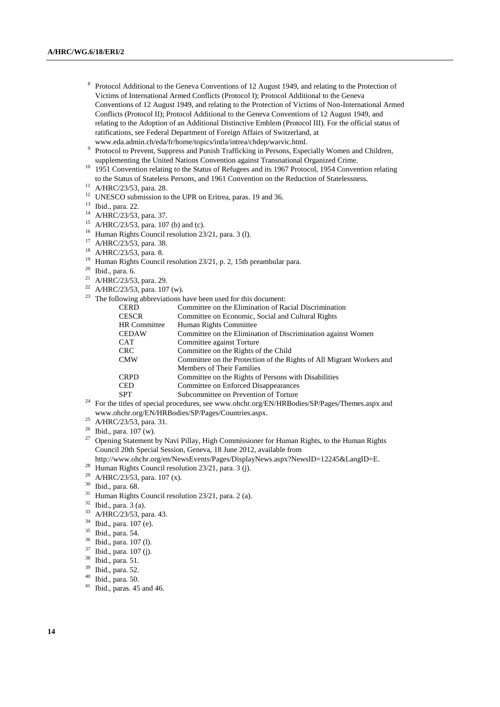- 8 Protocol Additional to the Geneva Conventions of 12 August 1949, and relating to the Protection of Victims of International Armed Conflicts (Protocol I); Protocol Additional to the Geneva Conventions of 12 August 1949, and relating to the Protection of Victims of Non-International Armed Conflicts (Protocol II); Protocol Additional to the Geneva Conventions of 12 August 1949, and relating to the Adoption of an Additional Distinctive Emblem (Protocol III). For the official status of ratifications, see Federal Department of Foreign Affairs of Switzerland, at www.eda.admin.ch/eda/fr/home/topics/intla/intrea/chdep/warvic.html.
- 9 Protocol to Prevent, Suppress and Punish Trafficking in Persons, Especially Women and Children, supplementing the United Nations Convention against Transnational Organized Crime.
- <sup>10</sup> 1951 Convention relating to the Status of Refugees and its 1967 Protocol, 1954 Convention relating to the Status of Stateless Persons, and 1961 Convention on the Reduction of Statelessness.
- <sup>11</sup> A/HRC/23/53, para. 28.
- <sup>12</sup> UNESCO submission to the UPR on Eritrea, paras. 19 and 36.
- <sup>13</sup> Ibid., para. 22.
- <sup>14</sup> A/HRC/23/53, para. 37.
- <sup>15</sup> A/HRC/23/53, para. 107 (b) and (c).
- <sup>16</sup> Human Rights Council resolution 23/21, para. 3 (l).
- <sup>17</sup> A/HRC/23/53, para. 38.
- <sup>18</sup> A/HRC/23/53, para. 8.
- <sup>19</sup> Human Rights Council resolution 23/21, p. 2, 15th preambular para.
- <sup>20</sup> Ibid., para. 6.
- <sup>21</sup> A/HRC/23/53, para. 29.
- <sup>22</sup> A/HRC/23/53, para. 107 (w).
- $23$  The following abbreviations have been used for this document:

| <b>CERD</b>  | Committee on the Elimination of Racial Discrimination                |  |
|--------------|----------------------------------------------------------------------|--|
| <b>CESCR</b> | Committee on Economic, Social and Cultural Rights                    |  |
| HR Committee | Human Rights Committee                                               |  |
| <b>CEDAW</b> | Committee on the Elimination of Discrimination against Women         |  |
| <b>CAT</b>   | Committee against Torture                                            |  |
| <b>CRC</b>   | Committee on the Rights of the Child                                 |  |
| <b>CMW</b>   | Committee on the Protection of the Rights of All Migrant Workers and |  |
|              | <b>Members of Their Families</b>                                     |  |
| <b>CRPD</b>  | Committee on the Rights of Persons with Disabilities                 |  |
| <b>CED</b>   | Committee on Enforced Disappearances                                 |  |
| <b>SPT</b>   | Subcommittee on Prevention of Torture                                |  |
|              |                                                                      |  |

- <sup>24</sup> For the titles of special procedures, see www.ohchr.org/EN/HRBodies/SP/Pages/Themes.aspx and www.ohchr.org/EN/HRBodies/SP/Pages/Countries.aspx.
- $^{25}$  A/HRC/23/53, para. 31.
- <sup>26</sup> Ibid., para. 107 (w).
- <sup>27</sup> Opening Statement by Navi Pillay, High Commissioner for Human Rights, to the Human Rights Council 20th Special Session, Geneva, 18 June 2012, available from http://www.ohchr.org/en/NewsEvents/Pages/DisplayNews.aspx?NewsID=12245&LangID=E.
- <sup>28</sup> Human Rights Council resolution 23/21, para. 3 (j).
- A/HRC/23/53, para. 107 (x).
- <sup>30</sup> Ibid., para. 68.
- <sup>31</sup> Human Rights Council resolution 23/21, para. 2 (a).
- $^{32}$  Ibid., para. 3 (a).
- A/HRC/23/53, para. 43.
- $^{34}$  Ibid., para. 107 (e).
- Ibid., para. 54.
- <sup>36</sup> Ibid., para. 107 (l).
- $^{37}$  Ibid., para. 107 (j).<br> $^{38}$  Ibid. para. 51
- Ibid., para. 51.
- <sup>39</sup> Ibid., para. 52.
- $^{40}$  Ibid., para. 50.
- <sup>41</sup> Ibid., paras. 45 and 46.